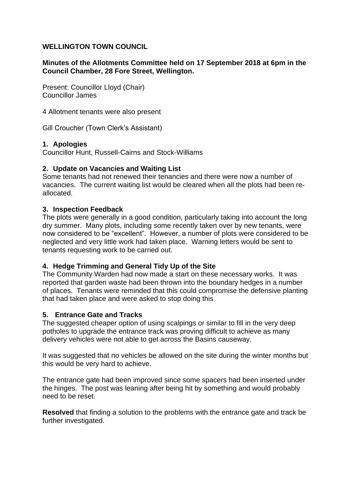# **WELLINGTON TOWN COUNCIL**

# **Minutes of the Allotments Committee held on 17 September 2018 at 6pm in the Council Chamber, 28 Fore Street, Wellington.**

Present: Councillor Lloyd (Chair) Councillor James

4 Allotment tenants were also present

Gill Croucher (Town Clerk's Assistant)

#### **1. Apologies**

Councillor Hunt, Russell-Cairns and Stock-Williams

# **2. Update on Vacancies and Waiting List**

Some tenants had not renewed their tenancies and there were now a number of vacancies. The current waiting list would be cleared when all the plots had been reallocated.

#### **3. Inspection Feedback**

The plots were generally in a good condition, particularly taking into account the long dry summer. Many plots, including some recently taken over by new tenants, were now considered to be "excellent". However, a number of plots were considered to be neglected and very little work had taken place. Warning letters would be sent to tenants requesting work to be carried out.

#### **4. Hedge Trimming and General Tidy Up of the Site**

The Community Warden had now made a start on these necessary works. It was reported that garden waste had been thrown into the boundary hedges in a number of places. Tenants were reminded that this could compromise the defensive planting that had taken place and were asked to stop doing this

#### **5. Entrance Gate and Tracks**

The suggested cheaper option of using scalpings or similar to fill in the very deep potholes to upgrade the entrance track was proving difficult to achieve as many delivery vehicles were not able to get across the Basins causeway.

It was suggested that no vehicles be allowed on the site during the winter months but this would be very hard to achieve.

The entrance gate had been improved since some spacers had been inserted under the hinges. The post was leaning after being hit by something and would probably need to be reset.

**Resolved** that finding a solution to the problems with the entrance gate and track be further investigated.